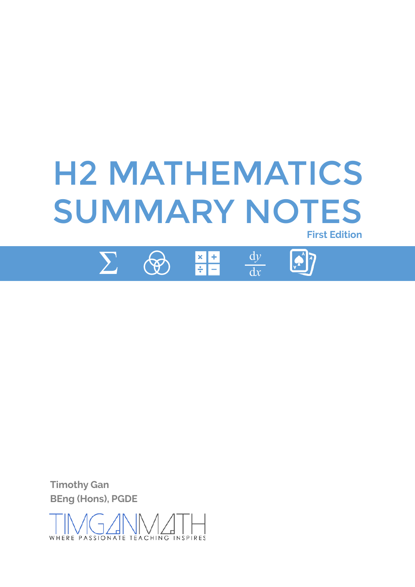

 $\sum$  $\rightsquigarrow$   $\begin{array}{|c|c|}\hline \times & +\\ \hline + & -\\ \hline \end{array}$ 

 $\frac{dy}{dx}$ 



**Timothy Gan BEng (Hons), PGDE** 

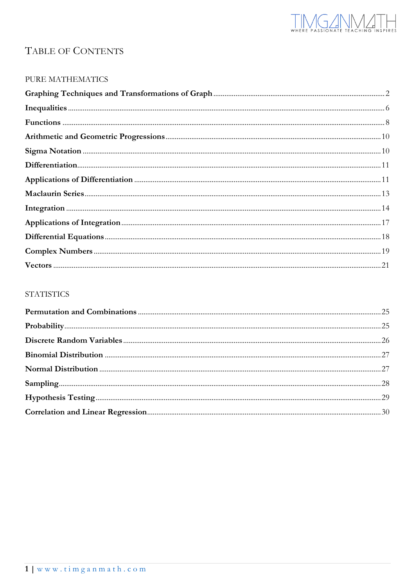

## TABLE OF CONTENTS

#### PURE MATHEMATICS

| ${\bf Sigma~Notation~~~~~}$ |  |
|-----------------------------|--|
|                             |  |
|                             |  |
|                             |  |
|                             |  |
|                             |  |
|                             |  |
|                             |  |
|                             |  |

#### **STATISTICS**

| $\textbf{Correlation and Linear Regression.} \\ \textcolor{red}{\textbf{Correlation and Linear Regression}} \\ \textcolor{red}{\textbf{.20}} \\ \textcolor{red}{\textbf{.30}}$ |  |
|--------------------------------------------------------------------------------------------------------------------------------------------------------------------------------|--|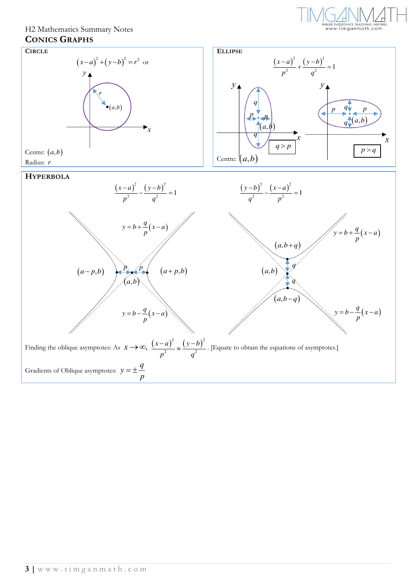

#### H2 Mathematics Summary Notes **CONICS GRAPHS**

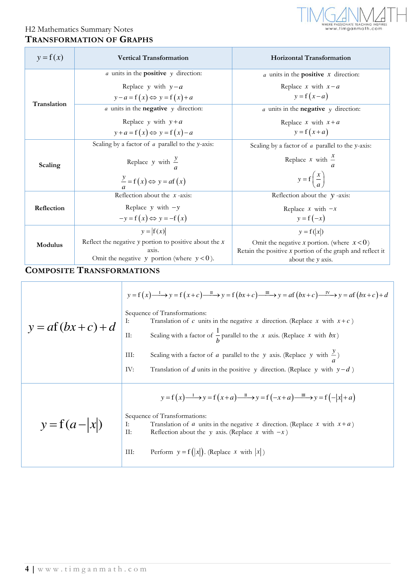

## H2 Mathematics Summary Notes **TRANSFORMATION OF GRAPHS**

| $y = f(x)$  | <b>Vertical Transformation</b>                             | <b>Horizontal Transformation</b>                                                        |
|-------------|------------------------------------------------------------|-----------------------------------------------------------------------------------------|
|             | $a$ units in the <b>positive</b> $y$ direction:            | $a$ units in the <b>positive</b> $x$ direction:                                         |
|             | Replace y with $y-a$                                       | Replace x with $x - a$                                                                  |
|             | $y-a=f(x) \Leftrightarrow y=f(x)+a$                        | $y = f(x-a)$                                                                            |
| Translation | $a$ units in the <b>negative</b> $y$ direction:            | $a$ units in the <b>negative</b> $y$ direction:                                         |
|             | Replace y with $y + a$                                     | Replace x with $x + a$                                                                  |
|             | $y + a = f(x) \Leftrightarrow y = f(x) - a$                | $y = f(x+a)$                                                                            |
|             | Scaling by a factor of $a$ parallel to the y-axis:         | Scaling by a factor of $\alpha$ parallel to the y-axis:                                 |
| Scaling     | Replace y with $\frac{y}{a}$                               | Replace x with $\frac{x}{x}$                                                            |
|             | $\frac{y}{a} = f(x) \Leftrightarrow y = af(x)$             | $y = f\left(\frac{x}{a}\right)$                                                         |
|             | Reflection about the $x$ -axis:                            | Reflection about the $y$ -axis:                                                         |
| Reflection  | Replace $y$ with $-y$                                      | Replace $x$ with $-x$                                                                   |
|             | $-y = f(x) \Leftrightarrow y = -f(x)$                      | $y = f(-x)$                                                                             |
|             | $y =  f(x) $                                               | $y = f( x )$                                                                            |
| Modulus     | Reflect the negative $y$ portion to positive about the $x$ | Omit the negative x portion. (where $x < 0$ )                                           |
|             | axis.<br>Omit the negative y portion (where $y < 0$ ).     | Retain the positive $x$ portion of the graph and reflect it<br>about the <i>y</i> axis. |

### **COMPOSITE TRANSFORMATIONS**

| $y = af(bx+c)+d$ | $y = f(x)$ $\longrightarrow$ $y = f(x+c)$ $\longrightarrow$ $y = f(bx+c)$ $\longrightarrow$ $y = af(bx+c)$ $\longrightarrow$ $y = af(bx+c) + d$<br>Sequence of Transformations:<br>Translation of c units in the negative x direction. (Replace x with $x + c$ )<br>I:<br>Scaling with a factor of $\frac{1}{k}$ parallel to the x axis. (Replace x with bx)<br>II:<br>Scaling with a factor of a parallel to the y axis. (Replace y with $\frac{y}{z}$ )<br>III:<br>IV:<br>Translation of d units in the positive y direction. (Replace y with $y-d$ ) |
|------------------|---------------------------------------------------------------------------------------------------------------------------------------------------------------------------------------------------------------------------------------------------------------------------------------------------------------------------------------------------------------------------------------------------------------------------------------------------------------------------------------------------------------------------------------------------------|
| $y = f(a- x )$   | $y = f(x)$ $\longrightarrow y = f(x+a)$ $\longrightarrow y = f(-x+a)$ $\longrightarrow y = f(- x +a)$<br>Sequence of Transformations:<br>Translation of a units in the negative x direction. (Replace x with $x + a$ )<br>I:<br>$\Pi$ :<br>Reflection about the y axis. (Replace x with $-x$ )<br>Perform $y = f( x )$ . (Replace x with $ x $ )<br>III:                                                                                                                                                                                                |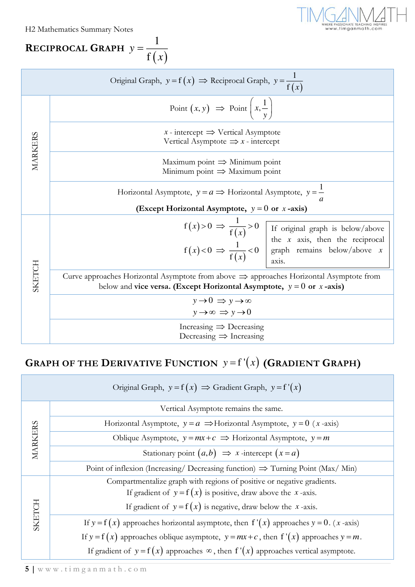H2 Mathematics Summary Notes

**RECIPROCAL GRAPH** 
$$
y = \frac{1}{f(x)}
$$



| Original Graph, $y = f(x) \implies$ Reciprocal Graph, $y = \frac{1}{f(x)}$ |                                                                                                                                                                               |                                                                                                                                               |  |
|----------------------------------------------------------------------------|-------------------------------------------------------------------------------------------------------------------------------------------------------------------------------|-----------------------------------------------------------------------------------------------------------------------------------------------|--|
| <b>MARKERS</b>                                                             | Point $(x, y) \Rightarrow$ Point $\left(x, \frac{1}{y}\right)$                                                                                                                |                                                                                                                                               |  |
|                                                                            | x - intercept $\Rightarrow$ Vertical Asymptote<br>Vertical Asymptote $\Rightarrow$ x - intercept                                                                              |                                                                                                                                               |  |
|                                                                            | Maximum point $\Rightarrow$ Minimum point<br>Minimum point $\Rightarrow$ Maximum point                                                                                        |                                                                                                                                               |  |
|                                                                            | Horizontal Asymptote, $y = a \implies$ Horizontal Asymptote, $y = \frac{1}{x}$                                                                                                |                                                                                                                                               |  |
|                                                                            | (Except Horizontal Asymptote, $y = 0$ or x-axis)                                                                                                                              |                                                                                                                                               |  |
|                                                                            |                                                                                                                                                                               | $f(x) > 0 \implies \frac{1}{f(x)} > 0$ If original graph is below/above<br>$f(x) < 0 \implies \frac{1}{f(x)} < 0$ graph remains below/above x |  |
| SKETCH                                                                     | Curve approaches Horizontal Asymptote from above $\Rightarrow$ approaches Horizontal Asymptote from<br>below and vice versa. (Except Horizontal Asymptote, $y = 0$ or x-axis) |                                                                                                                                               |  |
|                                                                            | $y \rightarrow 0 \Rightarrow y \rightarrow \infty$<br>$y \rightarrow \infty \Rightarrow y \rightarrow 0$                                                                      |                                                                                                                                               |  |
|                                                                            | Increasing $\Rightarrow$ Decreasing<br>Decreasing $\Rightarrow$ Increasing                                                                                                    |                                                                                                                                               |  |
| <b>GRAPH OF THE DERIVATIVE FUNCTION</b> $y = f'(x)$ (GRADIENT GRAPH)       |                                                                                                                                                                               |                                                                                                                                               |  |
| Original Graph, $y = f(x) \implies$ Gradient Graph, $y = f'(x)$            |                                                                                                                                                                               |                                                                                                                                               |  |
|                                                                            | Vertical Asymptote remains the same.                                                                                                                                          |                                                                                                                                               |  |
|                                                                            | Horizontal Asymptote, $y = a \implies$ Horizontal Asymptote, $y = 0$ ( <i>x</i> -axis)                                                                                        |                                                                                                                                               |  |
|                                                                            | Oblique Asymptote, $y = mx + c \implies$ Horizontal Asymptote, $y = m$                                                                                                        |                                                                                                                                               |  |
| <b>MARKERS</b>                                                             | Stationary point $(a,b) \implies x$ -intercept $(x = a)$                                                                                                                      |                                                                                                                                               |  |

# **GRAPH OF THE DERIVATIVE FUNCTION**  $y = f'(x)$  (GRADIENT GRAPH)

| Original Graph, $y = f(x) \implies$ Gradient Graph, $y = f'(x)$ |                                                                                              |  |
|-----------------------------------------------------------------|----------------------------------------------------------------------------------------------|--|
| MARKERS                                                         | Vertical Asymptote remains the same.                                                         |  |
|                                                                 | Horizontal Asymptote, $y = a \implies$ Horizontal Asymptote, $y = 0$ ( <i>x</i> -axis)       |  |
|                                                                 | Oblique Asymptote, $y = mx + c \implies$ Horizontal Asymptote, $y = m$                       |  |
|                                                                 | Stationary point $(a,b) \implies x$ -intercept $(x=a)$                                       |  |
|                                                                 | Point of inflexion (Increasing/ Decreasing function) $\Rightarrow$ Turning Point (Max/ Min)  |  |
| SKETCH                                                          | Compartmentalize graph with regions of positive or negative gradients.                       |  |
|                                                                 | If gradient of $y = f(x)$ is positive, draw above the x-axis.                                |  |
|                                                                 | If gradient of $y = f(x)$ is negative, draw below the x-axis.                                |  |
|                                                                 | If $y = f(x)$ approaches horizontal asymptote, then $f'(x)$ approaches $y = 0$ . (x-axis)    |  |
|                                                                 | If $y = f(x)$ approaches oblique asymptote, $y = mx + c$ , then $f'(x)$ approaches $y = m$ . |  |
|                                                                 | If gradient of $y = f(x)$ approaches $\infty$ , then $f'(x)$ approaches vertical asymptote.  |  |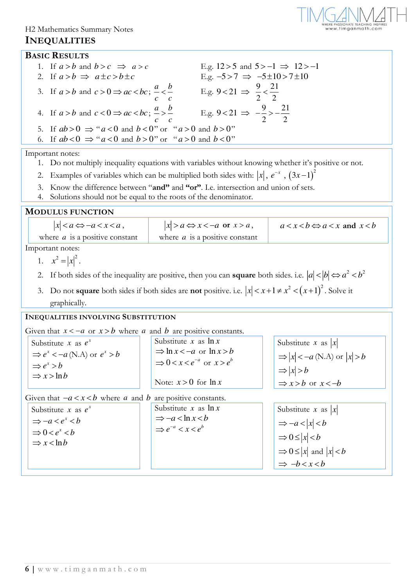#### H2 Mathematics Summary Notes

#### **INEQUALITIES**



#### **BASIC RESULTS**

| 1. If $a > b$ and $b > c \implies a > c$                                    | E.g. $12 > 5$ and $5 > -1 \implies 12 > -1$          |
|-----------------------------------------------------------------------------|------------------------------------------------------|
| 2. If $a > b \implies a \pm c > b \pm c$                                    | E.g. $-5 > 7 \implies -5 \pm 10 > 7 \pm 10$          |
| 3. If $a > b$ and $c > 0 \Rightarrow ac < bc$ ; $\frac{a}{c} < \frac{b}{c}$ | E.g. 9<21 $\Rightarrow \frac{9}{2} < \frac{21}{2}$   |
| 4. If $a > b$ and $c < 0 \Rightarrow ac < bc$ ; $\frac{a}{c} > \frac{b}{c}$ | E.g. 9<21 $\Rightarrow -\frac{9}{2} > -\frac{21}{2}$ |
| 5. If $ab > 0 \Rightarrow a < 0$ and $b < 0$ " or " $a > 0$ and $b > 0$ "   |                                                      |
| 6. If $ab < 0 \Rightarrow a < 0$ and $b > 0$ " or " $a > 0$ and $b < 0$ "   |                                                      |

Important notes:

- 1. Do not multiply inequality equations with variables without knowing whether it's positive or not.
- 2. Examples of variables which can be multiplied both sides with:  $|x|, e^{-x}$ ,  $(3x-1)^2$
- 3. Know the difference between "**and"** and **"or"**. I.e. intersection and union of sets.
- 4. Solutions should not be equal to the roots of the denominator.

**MODULUS FUNCTION**

| $ x  < a \Leftrightarrow -a < x < a$ , | $ x  > a \Leftrightarrow x < -a$ or $x > a$ , | $a < x < b \Leftrightarrow a < x$ and $x < b$ |
|----------------------------------------|-----------------------------------------------|-----------------------------------------------|
| where $\alpha$ is a positive constant  | where $\alpha$ is a positive constant         |                                               |
| anortant notes:                        |                                               |                                               |

Important notes:

- 1.  $x^2 = |x|^2$ .
- 2. If both sides of the inequality are positive, then you can **square** both sides. i.e.  $|a| < |b| \Leftrightarrow a^2 < b^2$
- 3. Do not **square** both sides if both sides are **not** positive. i.e.  $|x| < x+1 \neq x^2 < (x+1)^2$ . Solve it graphically.

#### **INEQUALITIES INVOLVING SUBSTITUTION**

Given that  $x < -a$  or  $x > b$  where *a* and *b* are positive constants.

Substitute *x* as  $e^x$  $\Rightarrow e^x < -a \text{ (N.A) or } e^x > b$  $\Rightarrow e^x > b$  $\Rightarrow$   $x >$  ln *b* Substitute *x* as ln *<sup>x</sup>*  $\Rightarrow$  ln  $x < -a$  or ln  $x > b$  $\Rightarrow$  0 < *x* <  $e^{-a}$  or *x* >  $e^{b}$ Note:  $x > 0$  for  $\ln x$ Substitute *x* as  $|x|$  $\Rightarrow$   $|x| < -a$  (N.A) or  $|x| > b$  $\Rightarrow$   $|x| > b$  $\Rightarrow$  *x>b* or *x<-b* 

Given that  $-a < x < b$  where *a* and *b* are positive constants.

| Substitute x as $e^x$      | Substitute x as $\ln x$          | Substitute x as $ x $                  |
|----------------------------|----------------------------------|----------------------------------------|
| $\Rightarrow -a < e^x < b$ | $\Rightarrow -a < \ln x < b$     | $\Rightarrow -a <  x  < b$             |
| $\Rightarrow 0 < e^x < b$  | $\Rightarrow e^{-a} < x < e^{b}$ | $\Rightarrow 0 \le  x  < b$            |
| $\Rightarrow$ x < ln b     |                                  |                                        |
|                            |                                  | $\Rightarrow$ 0 $\leq$  x  and  x  < b |
|                            |                                  | $\Rightarrow -b < x < b$               |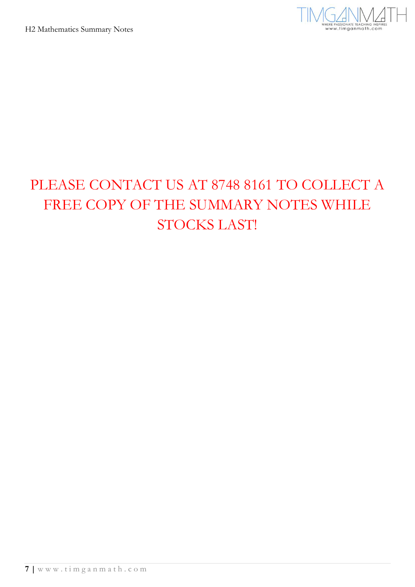

# PLEASE CONTACT US AT 8748 8161 TO COLLECT A FREE COPY OF THE SUMMARY NOTES WHILE STOCKS LAST!